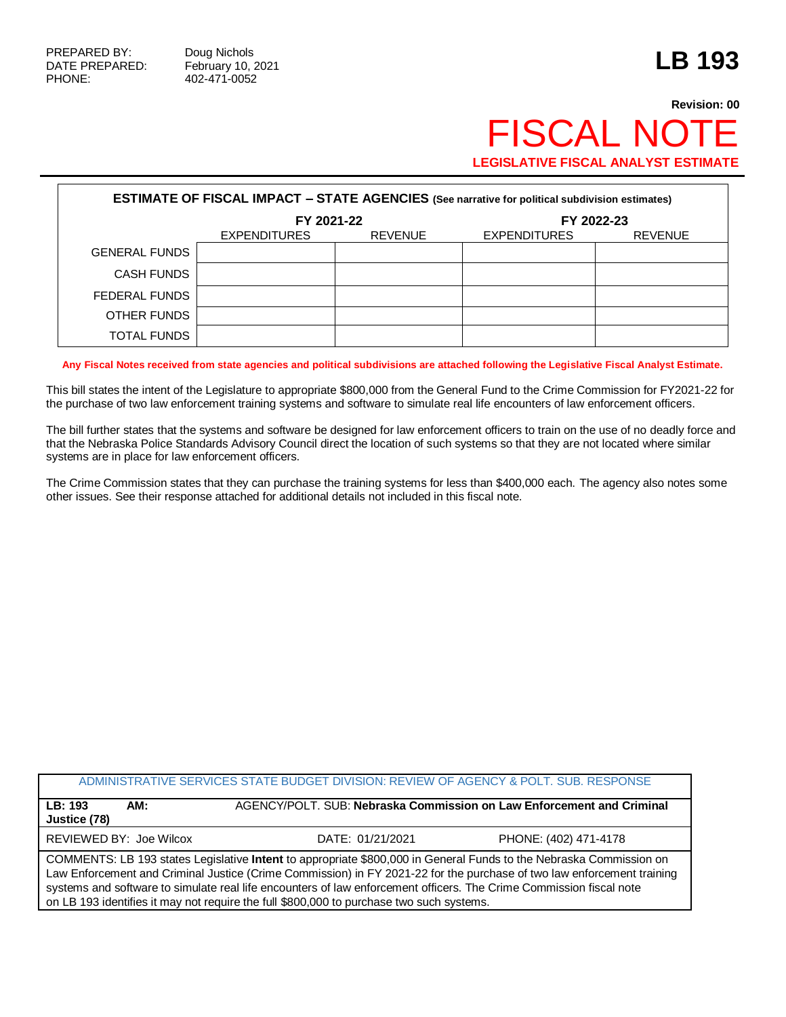## **Revision: 00 FISCAL NOT LEGISLATIVE FISCAL ANALYST ESTIMATE**

| <b>ESTIMATE OF FISCAL IMPACT - STATE AGENCIES (See narrative for political subdivision estimates)</b> |                     |                |                     |                |  |
|-------------------------------------------------------------------------------------------------------|---------------------|----------------|---------------------|----------------|--|
|                                                                                                       | FY 2021-22          |                | FY 2022-23          |                |  |
|                                                                                                       | <b>EXPENDITURES</b> | <b>REVENUE</b> | <b>EXPENDITURES</b> | <b>REVENUE</b> |  |
| <b>GENERAL FUNDS</b>                                                                                  |                     |                |                     |                |  |
| <b>CASH FUNDS</b>                                                                                     |                     |                |                     |                |  |
| FEDERAL FUNDS                                                                                         |                     |                |                     |                |  |
| OTHER FUNDS                                                                                           |                     |                |                     |                |  |
| TOTAL FUNDS                                                                                           |                     |                |                     |                |  |

**Any Fiscal Notes received from state agencies and political subdivisions are attached following the Legislative Fiscal Analyst Estimate.**

This bill states the intent of the Legislature to appropriate \$800,000 from the General Fund to the Crime Commission for FY2021-22 for the purchase of two law enforcement training systems and software to simulate real life encounters of law enforcement officers.

The bill further states that the systems and software be designed for law enforcement officers to train on the use of no deadly force and that the Nebraska Police Standards Advisory Council direct the location of such systems so that they are not located where similar systems are in place for law enforcement officers.

The Crime Commission states that they can purchase the training systems for less than \$400,000 each. The agency also notes some other issues. See their response attached for additional details not included in this fiscal note.

|                                                                                                                                                                                                                                                                                                                                                                     | ADMINISTRATIVE SERVICES STATE BUDGET DIVISION: REVIEW OF AGENCY & POLT. SUB. RESPONSE |                       |  |  |  |
|---------------------------------------------------------------------------------------------------------------------------------------------------------------------------------------------------------------------------------------------------------------------------------------------------------------------------------------------------------------------|---------------------------------------------------------------------------------------|-----------------------|--|--|--|
| LB: 193<br>AM:<br>Justice (78)                                                                                                                                                                                                                                                                                                                                      | AGENCY/POLT. SUB: Nebraska Commission on Law Enforcement and Criminal                 |                       |  |  |  |
| <b>REVIEWED BY: Joe Wilcox</b>                                                                                                                                                                                                                                                                                                                                      | DATE: 01/21/2021                                                                      | PHONE: (402) 471-4178 |  |  |  |
| COMMENTS: LB 193 states Legislative Intent to appropriate \$800,000 in General Funds to the Nebraska Commission on<br>Law Enforcement and Criminal Justice (Crime Commission) in FY 2021-22 for the purchase of two law enforcement training<br>systems and software to simulate real life encounters of law enforcement officers. The Crime Commission fiscal note |                                                                                       |                       |  |  |  |

on LB 193 identifies it may not require the full \$800,000 to purchase two such systems.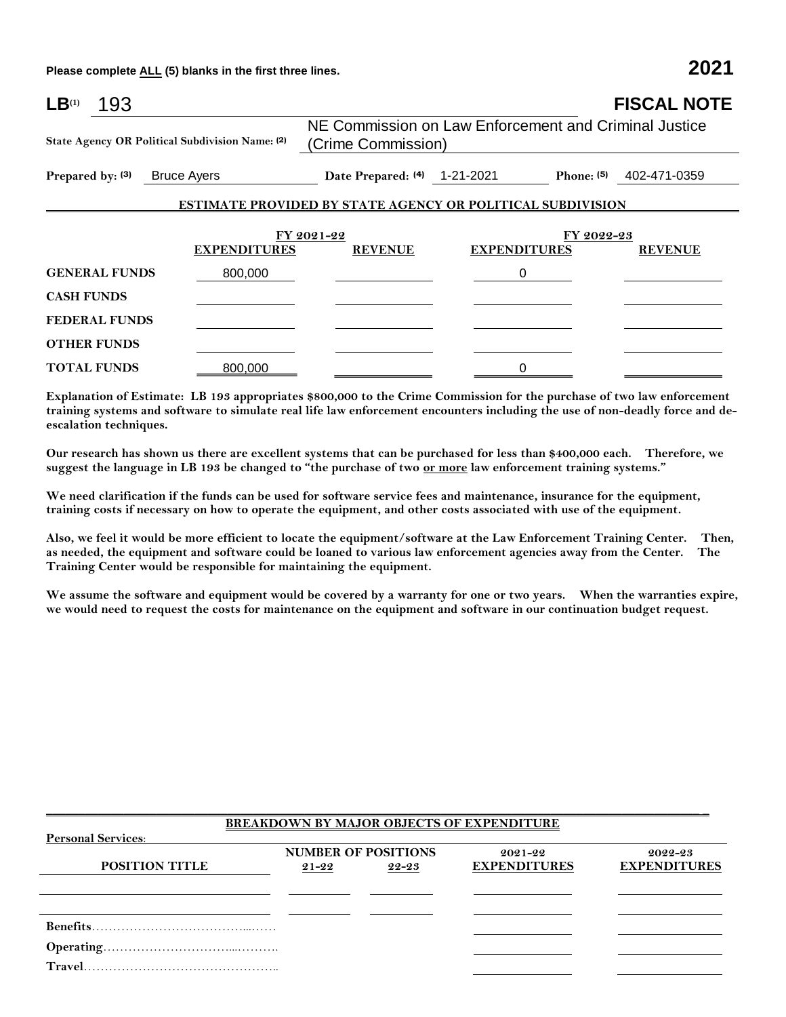**Please complete ALL (5) blanks in the first three lines. 2021**

| $LB^{(1)}$<br>193                                                                                                                                                                                                                                                                                                                                                             |         |                                                                             |                                   |  | <b>FISCAL NOTE</b>        |
|-------------------------------------------------------------------------------------------------------------------------------------------------------------------------------------------------------------------------------------------------------------------------------------------------------------------------------------------------------------------------------|---------|-----------------------------------------------------------------------------|-----------------------------------|--|---------------------------|
| State Agency OR Political Subdivision Name: (2)                                                                                                                                                                                                                                                                                                                               |         | NE Commission on Law Enforcement and Criminal Justice<br>(Crime Commission) |                                   |  |                           |
| Prepared by: (3) Bruce Ayers                                                                                                                                                                                                                                                                                                                                                  |         | Date Prepared: (4) 1-21-2021                                                |                                   |  | Phone: $(5)$ 402-471-0359 |
|                                                                                                                                                                                                                                                                                                                                                                               |         | <b>ESTIMATE PROVIDED BY STATE AGENCY OR POLITICAL SUBDIVISION</b>           |                                   |  |                           |
|                                                                                                                                                                                                                                                                                                                                                                               |         |                                                                             |                                   |  |                           |
| <b>EXPENDITURES</b>                                                                                                                                                                                                                                                                                                                                                           |         | FY 2021-22<br><b>REVENUE</b>                                                | FY 2022-23<br><b>EXPENDITURES</b> |  | <b>REVENUE</b>            |
| <b>GENERAL FUNDS</b>                                                                                                                                                                                                                                                                                                                                                          | 800,000 |                                                                             | $\Omega$                          |  |                           |
| <b>CASH FUNDS</b>                                                                                                                                                                                                                                                                                                                                                             |         |                                                                             |                                   |  |                           |
| <b>FEDERAL FUNDS</b>                                                                                                                                                                                                                                                                                                                                                          |         |                                                                             |                                   |  |                           |
| <b>OTHER FUNDS</b>                                                                                                                                                                                                                                                                                                                                                            |         |                                                                             |                                   |  |                           |
| <b>TOTAL FUNDS</b>                                                                                                                                                                                                                                                                                                                                                            | 800,000 |                                                                             |                                   |  |                           |
| $\Gamma_{\rm tot}$ and $\Gamma_{\rm tot}$ and $\Gamma_{\rm tot}$ and $\Gamma_{\rm tot}$ and $\Gamma_{\rm tot}$ and $\Gamma_{\rm tot}$ and $\Gamma_{\rm tot}$ and $\Gamma_{\rm tot}$ and $\Gamma_{\rm tot}$ and $\Gamma_{\rm tot}$ and $\Gamma_{\rm tot}$ and $\Gamma_{\rm tot}$ and $\Gamma_{\rm tot}$ and $\Gamma_{\rm tot}$ and $\Gamma_{\rm tot}$ and $\Gamma_{\rm tot}$ a |         |                                                                             |                                   |  |                           |

**Explanation of Estimate: LB 193 appropriates \$800,000 to the Crime Commission for the purchase of two law enforcement training systems and software to simulate real life law enforcement encounters including the use of non-deadly force and deescalation techniques.**

**Our research has shown us there are excellent systems that can be purchased for less than \$400,000 each. Therefore, we suggest the language in LB 193 be changed to "the purchase of two or more law enforcement training systems."**

**We need clarification if the funds can be used for software service fees and maintenance, insurance for the equipment, training costs if necessary on how to operate the equipment, and other costs associated with use of the equipment.** 

**Also, we feel it would be more efficient to locate the equipment/software at the Law Enforcement Training Center. Then, as needed, the equipment and software could be loaned to various law enforcement agencies away from the Center. The Training Center would be responsible for maintaining the equipment.**

**We assume the software and equipment would be covered by a warranty for one or two years. When the warranties expire, we would need to request the costs for maintenance on the equipment and software in our continuation budget request.**

| <b>BREAKDOWN BY MAJOR OBJECTS OF EXPENDITURE</b> |       |                                     |                                    |                                    |  |
|--------------------------------------------------|-------|-------------------------------------|------------------------------------|------------------------------------|--|
| <b>Personal Services:</b>                        |       |                                     |                                    |                                    |  |
| <b>POSITION TITLE</b>                            | 21-22 | <b>NUMBER OF POSITIONS</b><br>22-23 | $2021 - 22$<br><b>EXPENDITURES</b> | $2022 - 23$<br><b>EXPENDITURES</b> |  |
|                                                  |       |                                     |                                    |                                    |  |
|                                                  |       |                                     |                                    |                                    |  |
|                                                  |       |                                     |                                    |                                    |  |
|                                                  |       |                                     |                                    |                                    |  |

\_\_\_\_\_\_\_\_\_\_\_\_\_\_\_\_\_\_\_\_\_\_\_\_\_\_\_\_\_\_\_\_\_\_\_\_\_\_\_\_\_\_\_\_\_\_\_\_\_\_\_\_\_\_\_\_\_\_\_\_\_\_\_\_\_\_\_\_\_\_\_\_\_\_\_\_\_\_\_\_\_\_\_\_\_\_\_\_\_\_\_\_\_\_\_\_\_\_\_\_\_ \_